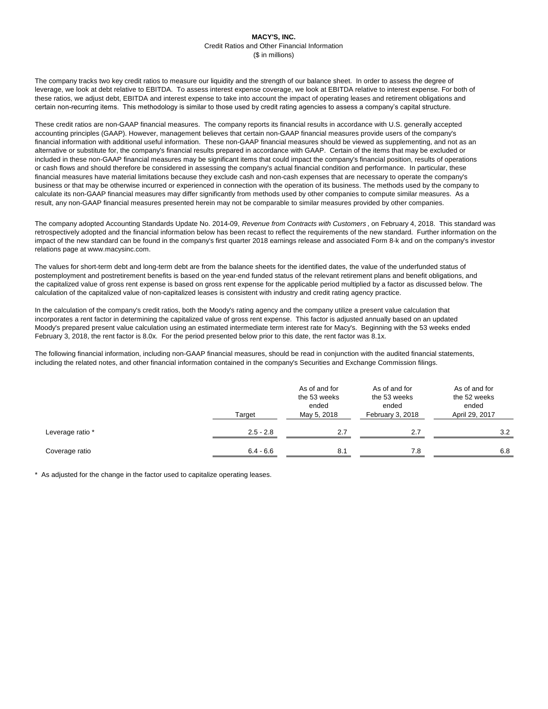The company tracks two key credit ratios to measure our liquidity and the strength of our balance sheet. In order to assess the degree of leverage, we look at debt relative to EBITDA. To assess interest expense coverage, we look at EBITDA relative to interest expense. For both of these ratios, we adjust debt, EBITDA and interest expense to take into account the impact of operating leases and retirement obligations and certain non-recurring items. This methodology is similar to those used by credit rating agencies to assess a company's capital structure.

These credit ratios are non-GAAP financial measures. The company reports its financial results in accordance with U.S. generally accepted accounting principles (GAAP). However, management believes that certain non-GAAP financial measures provide users of the company's financial information with additional useful information. These non-GAAP financial measures should be viewed as supplementing, and not as an alternative or substitute for, the company's financial results prepared in accordance with GAAP. Certain of the items that may be excluded or included in these non-GAAP financial measures may be significant items that could impact the company's financial position, results of operations or cash flows and should therefore be considered in assessing the company's actual financial condition and performance. In particular, these financial measures have material limitations because they exclude cash and non-cash expenses that are necessary to operate the company's business or that may be otherwise incurred or experienced in connection with the operation of its business. The methods used by the company to calculate its non-GAAP financial measures may differ significantly from methods used by other companies to compute similar measures. As a result, any non-GAAP financial measures presented herein may not be comparable to similar measures provided by other companies.

The values for short-term debt and long-term debt are from the balance sheets for the identified dates, the value of the underfunded status of postemployment and postretirement benefits is based on the year-end funded status of the relevant retirement plans and benefit obligations, and the capitalized value of gross rent expense is based on gross rent expense for the applicable period multiplied by a factor as discussed below. The calculation of the capitalized value of non-capitalized leases is consistent with industry and credit rating agency practice.

In the calculation of the company's credit ratios, both the Moody's rating agency and the company utilize a present value calculation that incorporates a rent factor in determining the capitalized value of gross rent expense. This factor is adjusted annually based on an updated Moody's prepared present value calculation using an estimated intermediate term interest rate for Macy's. Beginning with the 53 weeks ended February 3, 2018, the rent factor is 8.0x. For the period presented below prior to this date, the rent factor was 8.1x.

The following financial information, including non-GAAP financial measures, should be read in conjunction with the audited financial statements, including the related notes, and other financial information contained in the company's Securities and Exchange Commission filings.

|                  | Target      | As of and for<br>the 53 weeks<br>ended<br>May 5, 2018 | As of and for<br>the 53 weeks<br>ended<br>February 3, 2018 | As of and for<br>the 52 weeks<br>ended<br>April 29, 2017 |  |
|------------------|-------------|-------------------------------------------------------|------------------------------------------------------------|----------------------------------------------------------|--|
| Leverage ratio * | $2.5 - 2.8$ | 2.7                                                   | 2.7                                                        | 3.2                                                      |  |
| Coverage ratio   | $6.4 - 6.6$ | 8.1                                                   | 7.8                                                        | 6.8                                                      |  |

\* As adjusted for the change in the factor used to capitalize operating leases.

## **MACY'S, INC.** Credit Ratios and Other Financial Information (\$ in millions)

The company adopted Accounting Standards Update No. 2014-09, *Revenue from Contracts with Customers* , on February 4, 2018. This standard was retrospectively adopted and the financial information below has been recast to reflect the requirements of the new standard. Further information on the impact of the new standard can be found in the company's first quarter 2018 earnings release and associated Form 8-k and on the company's investor relations page at www.macysinc.com.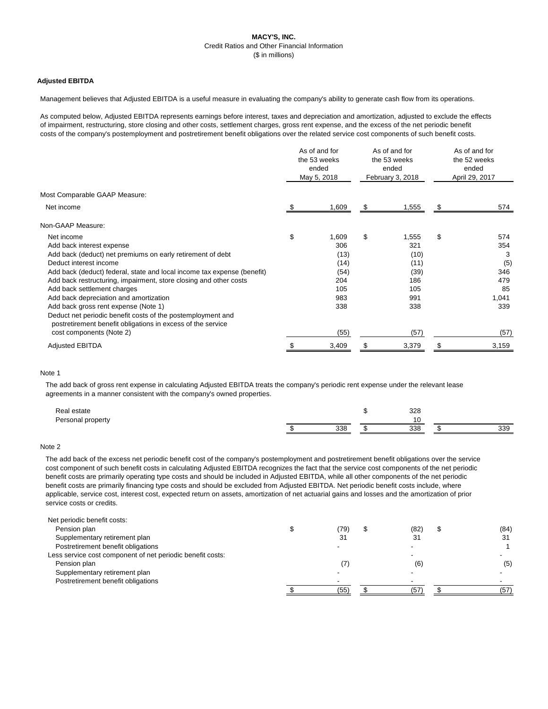# **MACY'S, INC.** Credit Ratios and Other Financial Information (\$ in millions)

### **Adjusted EBITDA**

Management believes that Adjusted EBITDA is a useful measure in evaluating the company's ability to generate cash flow from its operations.

As computed below, Adjusted EBITDA represents earnings before interest, taxes and depreciation and amortization, adjusted to exclude the effects of impairment, restructuring, store closing and other costs, settlement charges, gross rent expense, and the excess of the net periodic benefit costs of the company's postemployment and postretirement benefit obligations over the related service cost components of such benefit costs.

|                                                                                                                            |                | As of and for<br>the 53 weeks<br>ended<br>May 5, 2018 |    | As of and for<br>the 53 weeks<br>ended<br>February 3, 2018 |    | As of and for<br>the 52 weeks<br>ended<br>April 29, 2017 |  |
|----------------------------------------------------------------------------------------------------------------------------|----------------|-------------------------------------------------------|----|------------------------------------------------------------|----|----------------------------------------------------------|--|
| Most Comparable GAAP Measure:                                                                                              |                |                                                       |    |                                                            |    |                                                          |  |
| Net income                                                                                                                 | æ.             | 1,609                                                 | \$ | 1,555                                                      | \$ | 574                                                      |  |
| Non-GAAP Measure:                                                                                                          |                |                                                       |    |                                                            |    |                                                          |  |
| Net income                                                                                                                 | $\mathfrak{L}$ | 1,609                                                 | \$ | 1,555                                                      | \$ | 574                                                      |  |
| Add back interest expense                                                                                                  |                | 306                                                   |    | 321                                                        |    | 354                                                      |  |
| Add back (deduct) net premiums on early retirement of debt                                                                 |                | (13)                                                  |    | (10)                                                       |    | 3                                                        |  |
| Deduct interest income                                                                                                     |                | (14)                                                  |    | (11)                                                       |    | (5)                                                      |  |
| Add back (deduct) federal, state and local income tax expense (benefit)                                                    |                | (54)                                                  |    | (39)                                                       |    | 346                                                      |  |
| Add back restructuring, impairment, store closing and other costs                                                          |                | 204                                                   |    | 186                                                        |    | 479                                                      |  |
| Add back settlement charges                                                                                                |                | 105                                                   |    | 105                                                        |    | 85                                                       |  |
| Add back depreciation and amortization                                                                                     |                | 983                                                   |    | 991                                                        |    | 1,041                                                    |  |
| Add back gross rent expense (Note 1)                                                                                       |                | 338                                                   |    | 338                                                        |    | 339                                                      |  |
| Deduct net periodic benefit costs of the postemployment and<br>postretirement benefit obligations in excess of the service |                |                                                       |    |                                                            |    |                                                          |  |
| cost components (Note 2)                                                                                                   |                | (55)                                                  |    | (57)                                                       |    | (57)                                                     |  |
| <b>Adjusted EBITDA</b>                                                                                                     |                | 3,409                                                 |    | 3,379                                                      |    | 3,159                                                    |  |

#### Note 1

The add back of gross rent expense in calculating Adjusted EBITDA treats the company's periodic rent expense under the relevant lease agreements in a manner consistent with the company's owned properties.

| Real estate<br>Personal property |     | 328 |     |     |
|----------------------------------|-----|-----|-----|-----|
|                                  | 338 |     | 338 | 339 |

#### Note 2

The add back of the excess net periodic benefit cost of the company's postemployment and postretirement benefit obligations over the service cost component of such benefit costs in calculating Adjusted EBITDA recognizes the fact that the service cost components of the net periodic benefit costs are primarily operating type costs and should be included in Adjusted EBITDA, while all other components of the net periodic benefit costs are primarily financing type costs and should be excluded from Adjusted EBITDA. Net periodic benefit costs include, where applicable, service cost, interest cost, expected return on assets, amortization of net actuarial gains and losses and the amortization of prior service costs or credits.

| Net periodic benefit costs:                                |     |      |      |
|------------------------------------------------------------|-----|------|------|
| Pension plan                                               | 79) | (82) | (84) |
| Supplementary retirement plan                              | 31  |      | 31   |
| Postretirement benefit obligations                         |     |      |      |
| Less service cost component of net periodic benefit costs: |     |      |      |
| Pension plan                                               |     | (6)  | (5)  |

Supplementary retirement plan Postretirement benefit obligations

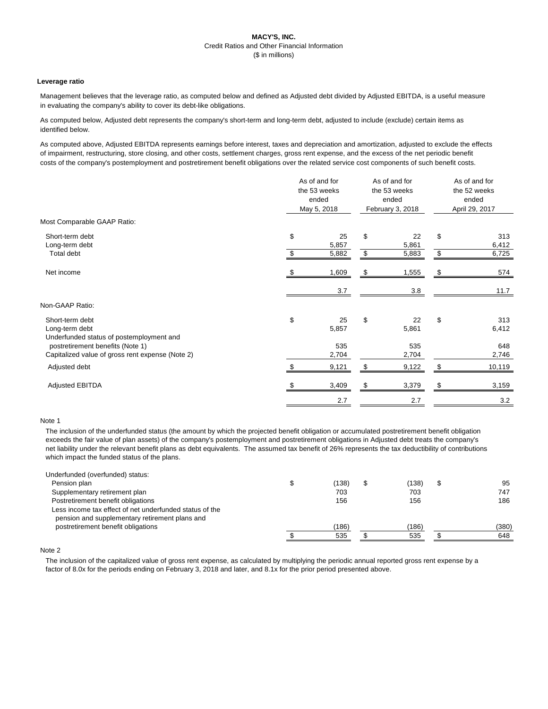## **MACY'S, INC.** Credit Ratios and Other Financial Information (\$ in millions)

### **Leverage ratio**

Management believes that the leverage ratio, as computed below and defined as Adjusted debt divided by Adjusted EBITDA, is a useful measure in evaluating the company's ability to cover its debt-like obligations.

As computed below, Adjusted debt represents the company's short-term and long-term debt, adjusted to include (exclude) certain items as identified below.

As computed above, Adjusted EBITDA represents earnings before interest, taxes and depreciation and amortization, adjusted to exclude the effects of impairment, restructuring, store closing, and other costs, settlement charges, gross rent expense, and the excess of the net periodic benefit costs of the company's postemployment and postretirement benefit obligations over the related service cost components of such benefit costs.

|                                                                                      | As of and for<br>the 53 weeks<br>ended<br>May 5, 2018 |                      | As of and for<br>the 53 weeks<br>ended<br>February 3, 2018 |                      | As of and for<br>the 52 weeks<br>ended<br>April 29, 2017 |                       |
|--------------------------------------------------------------------------------------|-------------------------------------------------------|----------------------|------------------------------------------------------------|----------------------|----------------------------------------------------------|-----------------------|
| Most Comparable GAAP Ratio:                                                          |                                                       |                      |                                                            |                      |                                                          |                       |
| Short-term debt<br>Long-term debt<br>Total debt                                      | $\$\$<br>$\mathfrak{L}$                               | 25<br>5,857<br>5,882 | \$<br>\$                                                   | 22<br>5,861<br>5,883 | \$<br>$\$\$                                              | 313<br>6,412<br>6,725 |
| Net income                                                                           |                                                       | 1,609                | \$                                                         | 1,555                |                                                          | 574                   |
|                                                                                      |                                                       | 3.7                  |                                                            | 3.8                  |                                                          | 11.7                  |
| Non-GAAP Ratio:                                                                      |                                                       |                      |                                                            |                      |                                                          |                       |
| Short-term debt<br>Long-term debt<br>Underfunded status of postemployment and        | \$                                                    | 25<br>5,857          | \$                                                         | 22<br>5,861          | \$                                                       | 313<br>6,412          |
| postretirement benefits (Note 1)<br>Capitalized value of gross rent expense (Note 2) |                                                       | 535<br>2,704         |                                                            | 535<br>2,704         |                                                          | 648<br>2,746          |
| Adjusted debt                                                                        |                                                       | 9,121                | \$                                                         | 9,122                |                                                          | 10,119                |
| <b>Adjusted EBITDA</b>                                                               |                                                       | 3,409                | \$                                                         | 3,379                |                                                          | 3,159                 |
|                                                                                      |                                                       | 2.7                  |                                                            | 2.7                  |                                                          | 3.2                   |

### Note 1

The inclusion of the underfunded status (the amount by which the projected benefit obligation or accumulated postretirement benefit obligation exceeds the fair value of plan assets) of the company's postemployment and postretirement obligations in Adjusted debt treats the company's net liability under the relevant benefit plans as debt equivalents. The assumed tax benefit of 26% represents the tax deductibility of contributions which impact the funded status of the plans.

| Underfunded (overfunded) status:                        |       |       |       |
|---------------------------------------------------------|-------|-------|-------|
| Pension plan                                            | (138) | 138)  | 95    |
| Supplementary retirement plan                           | 703   | 703   | 747   |
| Postretirement benefit obligations                      | 156   | 156   | 186   |
| Less income tax effect of net underfunded status of the |       |       |       |
| pension and supplementary retirement plans and          |       |       |       |
| postretirement benefit obligations                      | (186) | (186) | (380) |
|                                                         | 535   | 535   | 648   |

Note 2

The inclusion of the capitalized value of gross rent expense, as calculated by multiplying the periodic annual reported gross rent expense by a

factor of 8.0x for the periods ending on February 3, 2018 and later, and 8.1x for the prior period presented above.